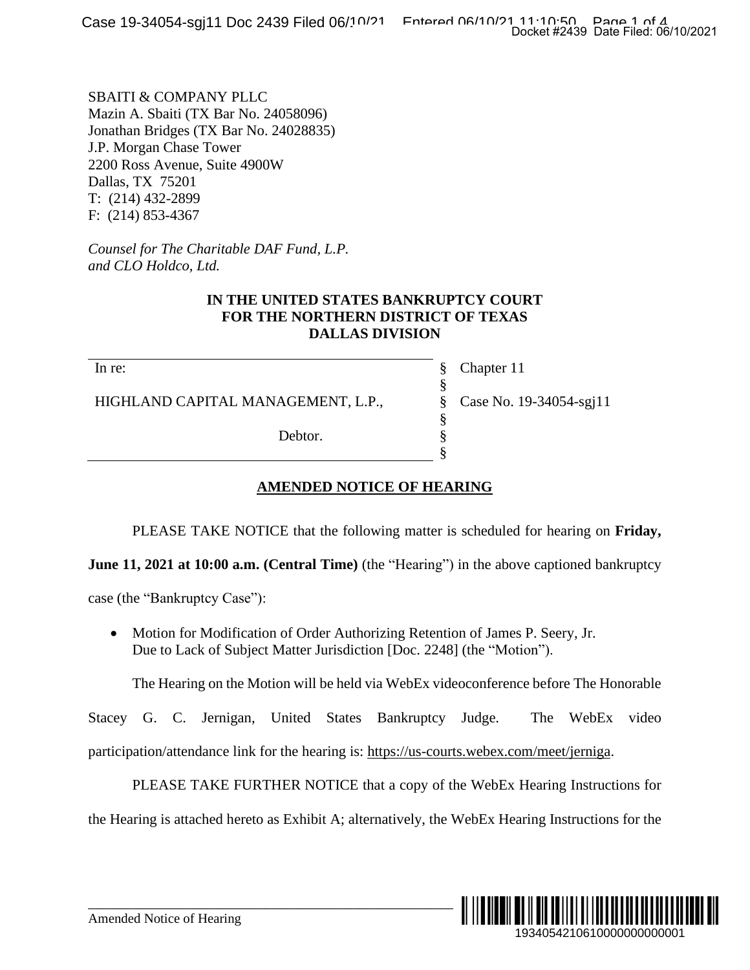SBAITI & COMPANY PLLC Mazin A. Sbaiti (TX Bar No. 24058096) Jonathan Bridges (TX Bar No. 24028835) J.P. Morgan Chase Tower 2200 Ross Avenue, Suite 4900W Dallas, TX 75201 T: (214) 432-2899 F: (214) 853-4367

*Counsel for The Charitable DAF Fund, L.P. and CLO Holdco, Ltd.*

### **IN THE UNITED STATES BANKRUPTCY COURT FOR THE NORTHERN DISTRICT OF TEXAS DALLAS DIVISION**

In re:

HIGHLAND CAPITAL MANAGEMENT, L.P.,

Debtor.

Chapter 11 Case No. 19-34054-sgj11

# **AMENDED NOTICE OF HEARING**

PLEASE TAKE NOTICE that the following matter is scheduled for hearing on **Friday,**

§ § § § § §

**June 11, 2021 at 10:00 a.m. (Central Time)** (the "Hearing") in the above captioned bankruptcy

case (the "Bankruptcy Case"):

• Motion for Modification of Order Authorizing Retention of James P. Seery, Jr. Due to Lack of Subject Matter Jurisdiction [Doc. 2248] (the "Motion").

The Hearing on the Motion will be held via WebEx videoconference before The Honorable

Stacey G. C. Jernigan, United States Bankruptcy Judge. The WebEx video participation/attendance link for the hearing is: [https://us-courts.webex.com/meet/jerniga.](https://us-courts.webex.com/meet/jerniga)

PLEASE TAKE FURTHER NOTICE that a copy of the WebEx Hearing Instructions for the Hearing is attached hereto as Exhibit A; alternatively, the WebEx Hearing Instructions for the

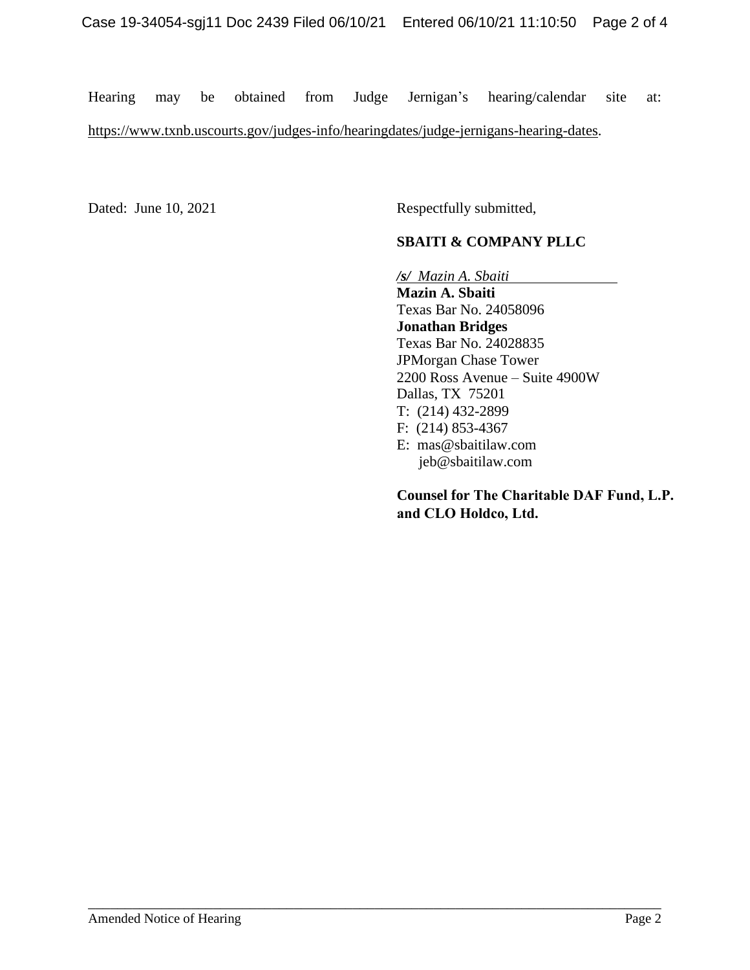Hearing may be obtained from Judge Jernigan's hearing/calendar site at:

\_\_\_\_\_\_\_\_\_\_\_\_\_\_\_\_\_\_\_\_\_\_\_\_\_\_\_\_\_\_\_\_\_\_\_\_\_\_\_\_\_\_\_\_\_\_\_\_\_\_\_\_\_\_\_\_\_\_\_\_\_\_\_\_\_\_\_\_\_\_\_\_\_\_\_\_\_\_

[https://www.txnb.uscourts.gov/judges-info/hearingdates/judge-jernigans-hearing-dates.](https://www.txnb.uscourts.gov/judges-info/hearingdates/judge-jernigans-hearing-dates)

Dated: June 10, 2021 Respectfully submitted,

## **SBAITI & COMPANY PLLC**

*/s/**Mazin A. Sbaiti*

**Mazin A. Sbaiti** Texas Bar No. 24058096 **Jonathan Bridges** Texas Bar No. 24028835 JPMorgan Chase Tower 2200 Ross Avenue – Suite 4900W Dallas, TX 75201 T: (214) 432-2899 F: (214) 853-4367 E: [mas@sbaitilaw.com](mailto:mas@sbaitilaw.com) [jeb@sbaitilaw.com](mailto:jeb@sbaitilaw.com)

**Counsel for The Charitable DAF Fund, L.P. and CLO Holdco, Ltd.**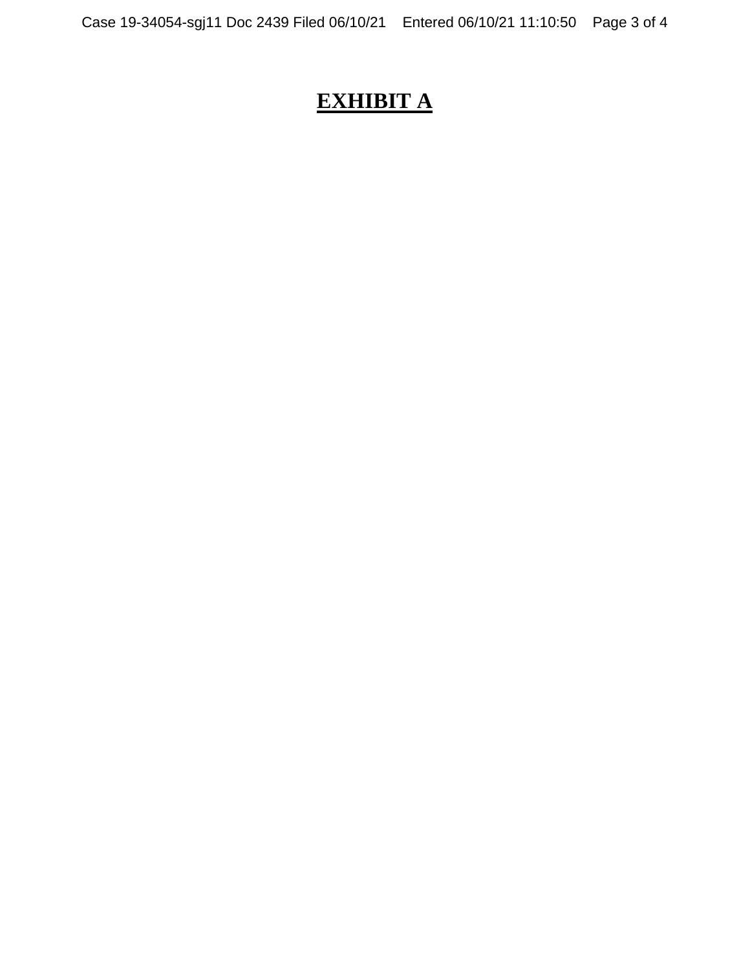# **EXHIBIT A**